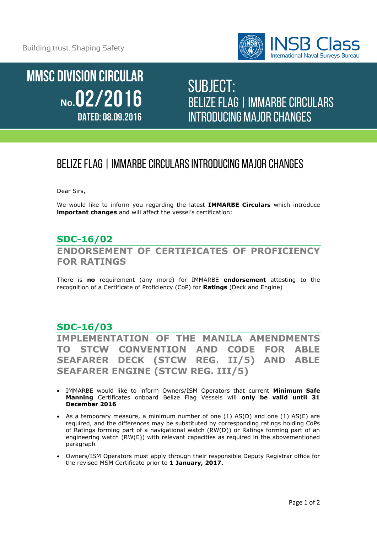Building trust. Shaping Safety



**MMSC DIVISION CIRCULAR** No.02/2016 DATED: 08.09.2016

# SUBJECT: Belize flag| IMMARBE Circulars introducing major changes

# Belize flag| IMMARBE Circulars introducing major changes

Dear Sirs,

We would like to inform you regarding the latest **IMMARBE Circulars** which introduce **important changes** and will affect the vessel's certification:

## **SDC-16/02 ENDORSEMENT OF CERTIFICATES OF PROFICIENCY FOR RATINGS**

There is **no** requirement (any more) for IMMARBE **endorsement** attesting to the recognition of a Certificate of Proficiency (CoP) for **Ratings** (Deck and Engine)

### **SDC-16/03**

**IMPLEMENTATION OF THE MANILA AMENDMENTS TO STCW CONVENTION AND CODE FOR ABLE SEAFARER DECK (STCW REG. II/5) AND ABLE SEAFARER ENGINE (STCW REG. III/5)**

- IMMARBE would like to inform Owners/ISM Operators that current **Minimum Safe Manning** Certificates onboard Belize Flag Vessels will **only be valid until 31 December 2016**
- As a temporary measure, a minimum number of one (1) AS(D) and one (1) AS(E) are required, and the differences may be substituted by corresponding ratings holding CoPs of Ratings forming part of a navigational watch (RW(D)) or Ratings forming part of an engineering watch (RW(E)) with relevant capacities as required in the abovementioned paragraph
- Owners/ISM Operators must apply through their responsible Deputy Registrar office for the revised MSM Certificate prior to **1 January, 2017.**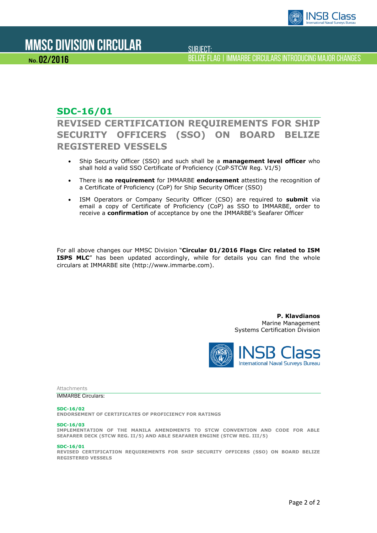

No. 02/2016

SUBJECT:

Belize flag| IMMARBE Circulars introducing major changes

## **SDC-16/01**

**REVISED CERTIFICATION REQUIREMENTS FOR SHIP SECURITY OFFICERS (SSO) ON BOARD BELIZE REGISTERED VESSELS**

- Ship Security Officer (SSO) and such shall be a **management level officer** who shall hold a valid SSO Certificate of Proficiency (CoP‐STCW Reg. V1/5)
- There is **no requirement** for IMMARBE **endorsement** attesting the recognition of a Certificate of Proficiency (CoP) for Ship Security Officer (SSO)
- ISM Operators or Company Security Officer (CSO) are required to **submit** via email a copy of Certificate of Proficiency (CoP) as SSO to IMMARBE, order to receive a **confirmation** of acceptance by one the IMMARBE's Seafarer Officer

For all above changes our MMSC Division "**Circular 01/2016 Flags Circ related to ISM ISPS MLC**" has been updated accordingly, while for details you can find the whole circulars at IMMARBE site (http://www.immarbe.com).

> **P. Klavdianos**  Marine Management Systems Certification Division



Attachments

IMMARBE Circulars:

#### **SDC-16/02**

**ENDORSEMENT OF CERTIFICATES OF PROFICIENCY FOR RATINGS**

#### **SDC-16/03**

**IMPLEMENTATION OF THE MANILA AMENDMENTS TO STCW CONVENTION AND CODE FOR ABLE SEAFARER DECK (STCW REG. II/5) AND ABLE SEAFARER ENGINE (STCW REG. III/5)**

#### **SDC-16/01**

**REVISED CERTIFICATION REQUIREMENTS FOR SHIP SECURITY OFFICERS (SSO) ON BOARD BELIZE REGISTERED VESSELS**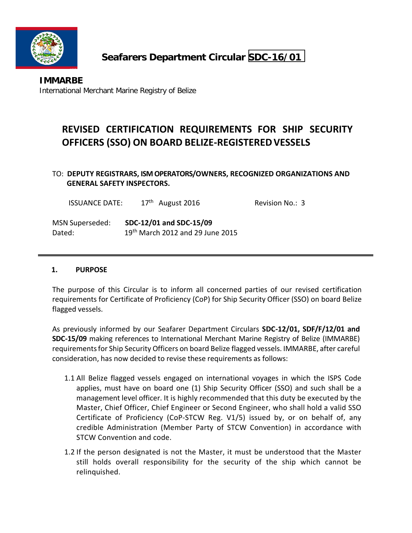

# **Seafarers Department Circular SDC-16/01**

## **REVISED CERTIFICATION REQUIREMENTS FOR SHIP SECURITY OFFICERS (SSO) ON BOARD BELIZE‐REGISTEREDVESSELS**

### TO: **DEPUTY REGISTRARS, ISM OPERATORS/OWNERS, RECOGNIZED ORGANIZATIONS AND GENERAL SAFETY INSPECTORS.**

| <b>ISSUANCE DATE:</b> | $17th$ August 2016                           | Revision No.: 3 |
|-----------------------|----------------------------------------------|-----------------|
| MSN Superseded:       | SDC-12/01 and SDC-15/09                      |                 |
| Dated:                | 19 <sup>th</sup> March 2012 and 29 June 2015 |                 |

#### **1. PURPOSE**

The purpose of this Circular is to inform all concerned parties of our revised certification requirements for Certificate of Proficiency (CoP) for Ship Security Officer (SSO) on board Belize flagged vessels.

As previously informed by our Seafarer Department Circulars **SDC‐12/01, SDF/F/12/01 and SDC‐15/09** making references to International Merchant Marine Registry of Belize (IMMARBE) requirementsfor Ship Security Officers on board Belize flagged vessels. IMMARBE, after careful consideration, has now decided to revise these requirements as follows:

- 1.1 All Belize flagged vessels engaged on international voyages in which the ISPS Code applies, must have on board one (1) Ship Security Officer (SSO) and such shall be a management level officer. It is highly recommended that this duty be executed by the Master, Chief Officer, Chief Engineer or Second Engineer, who shall hold a valid SSO Certificate of Proficiency (CoP‐STCW Reg. V1/5) issued by, or on behalf of, any credible Administration (Member Party of STCW Convention) in accordance with STCW Convention and code.
- 1.2 If the person designated is not the Master, it must be understood that the Master still holds overall responsibility for the security of the ship which cannot be relinquished.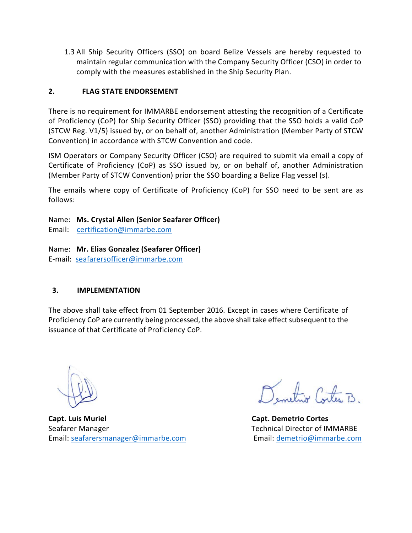1.3 All Ship Security Officers (SSO) on board Belize Vessels are hereby requested to maintain regular communication with the Company Security Officer (CSO) in order to comply with the measures established in the Ship Security Plan.

### **2. FLAG STATE ENDORSEMENT**

There is no requirement for IMMARBE endorsement attesting the recognition of a Certificate of Proficiency (CoP) for Ship Security Officer (SSO) providing that the SSO holds a valid CoP (STCW Reg. V1/5) issued by, or on behalf of, another Administration (Member Party of STCW Convention) in accordance with STCW Convention and code.

ISM Operators or Company Security Officer (CSO) are required to submit via email a copy of Certificate of Proficiency (CoP) as SSO issued by, or on behalf of, another Administration (Member Party of STCW Convention) prior the SSO boarding a Belize Flag vessel (s).

The emails where copy of Certificate of Proficiency (CoP) for SSO need to be sent are as follows:

Name: **Ms. Crystal Allen (Senior Seafarer Officer)**

Email: certification@immarbe.com

Name: **Mr. Elias Gonzalez (Seafarer Officer)**

E‐mail: seafarersofficer@immarbe.com

#### **3. IMPLEMENTATION**

The above shall take effect from 01 September 2016. Except in cases where Certificate of Proficiency CoP are currently being processed, the above shall take effect subsequent to the issuance of that Certificate of Proficiency CoP.

**Capt. Luis Muriel Capt. Demetrio Cortes** Seafarer Manager **Technical Director of IMMARBE** Email: seafarersmanager@immarbe.com Email: demetrio@immarbe.com

Demetrio Cortes B.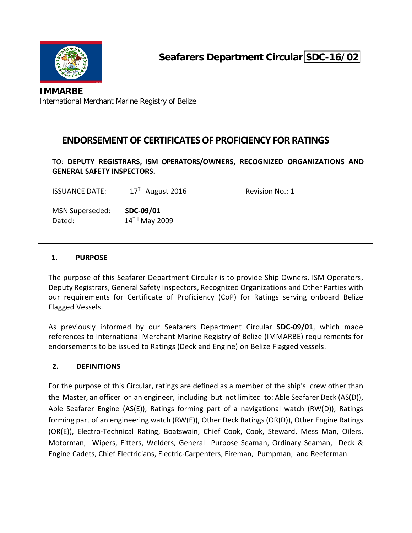

**IMMARBE** International Merchant Marine Registry of Belize

### **ENDORSEMENTOF CERTIFICATESOF PROFICIENCY FOR RATINGS**

TO: **DEPUTY REGISTRARS, ISM OPERATORS/OWNERS, RECOGNIZED ORGANIZATIONS AND GENERAL SAFETY INSPECTORS.**

ISSUANCE DATE: 17<sup>TH</sup> August 2016 Revision No.: 1

MSN Superseded: **SDC‐09/01** Dated: 14<sup>TH</sup> May 2009

#### **1. PURPOSE**

The purpose of this Seafarer Department Circular is to provide Ship Owners, ISM Operators, Deputy Registrars, General Safety Inspectors, Recognized Organizations and Other Parties with our requirements for Certificate of Proficiency (CoP) for Ratings serving onboard Belize Flagged Vessels.

As previously informed by our Seafarers Department Circular **SDC‐09/01**, which made references to International Merchant Marine Registry of Belize (IMMARBE) requirements for endorsements to be issued to Ratings (Deck and Engine) on Belize Flagged vessels.

#### **2. DEFINITIONS**

For the purpose of this Circular, ratings are defined as a member of the ship's crew other than the Master, an officer or an engineer, including but not limited to: Able Seafarer Deck (AS(D)), Able Seafarer Engine (AS(E)), Ratings forming part of a navigational watch (RW(D)), Ratings forming part of an engineering watch (RW(E)), Other Deck Ratings (OR(D)), Other Engine Ratings (OR(E)), Electro‐Technical Rating, Boatswain, Chief Cook, Cook, Steward, Mess Man, Oilers, Motorman, Wipers, Fitters, Welders, General Purpose Seaman, Ordinary Seaman, Deck & Engine Cadets, Chief Electricians, Electric‐Carpenters, Fireman, Pumpman, and Reeferman.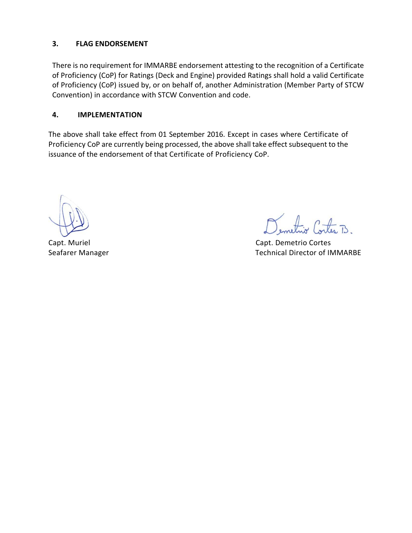#### **3. FLAG ENDORSEMENT**

There is no requirement for IMMARBE endorsement attesting to the recognition of a Certificate of Proficiency (CoP) for Ratings (Deck and Engine) provided Ratings shall hold a valid Certificate of Proficiency (CoP) issued by, or on behalf of, another Administration (Member Party of STCW Convention) in accordance with STCW Convention and code.

#### **4. IMPLEMENTATION**

The above shall take effect from 01 September 2016. Except in cases where Certificate of Proficiency CoP are currently being processed, the above shall take effect subsequent to the issuance of the endorsement of that Certificate of Proficiency CoP.

tiv Corta B

Capt. Muriel Capt. Demetrio Cortes Seafarer Manager **Manager 1999** Seafarer Manager **Technical Director of IMMARBE**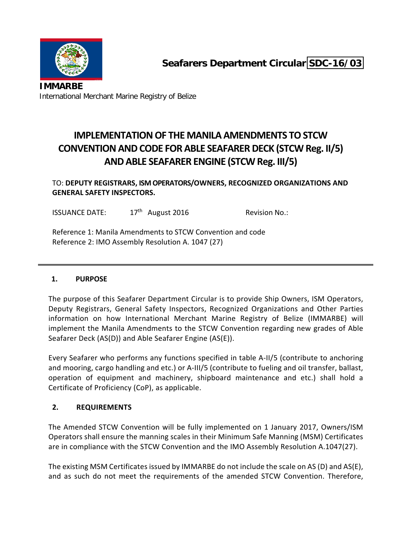

## **IMPLEMENTATIONOF THE MANILA AMENDMENTS TOSTCW CONVENTIONANDCODE FOR ABLE SEAFARER DECK (STCW Reg. II/5) ANDABLE SEAFARER ENGINE (STCW Reg. III/5)**

TO: **DEPUTY REGISTRARS, ISM OPERATORS/OWNERS, RECOGNIZED ORGANIZATIONS AND GENERAL SAFETY INSPECTORS.**

ISSUANCE DATE:  $17<sup>th</sup>$  August 2016 Revision No.:

Reference 1: Manila Amendments to STCW Convention and code Reference 2: IMO Assembly Resolution A. 1047 (27)

### **1. PURPOSE**

The purpose of this Seafarer Department Circular is to provide Ship Owners, ISM Operators, Deputy Registrars, General Safety Inspectors, Recognized Organizations and Other Parties information on how International Merchant Marine Registry of Belize (IMMARBE) will implement the Manila Amendments to the STCW Convention regarding new grades of Able Seafarer Deck (AS(D)) and Able Seafarer Engine (AS(E)).

Every Seafarer who performs any functions specified in table A‐II/5 (contribute to anchoring and mooring, cargo handling and etc.) or A‐III/5 (contribute to fueling and oil transfer, ballast, operation of equipment and machinery, shipboard maintenance and etc.) shall hold a Certificate of Proficiency (CoP), as applicable.

#### **2. REQUIREMENTS**

The Amended STCW Convention will be fully implemented on 1 January 2017, Owners/ISM Operators shall ensure the manning scales in their Minimum Safe Manning (MSM) Certificates are in compliance with the STCW Convention and the IMO Assembly Resolution A.1047(27).

The existing MSM Certificates issued by IMMARBE do not include the scale on AS (D) and AS(E), and as such do not meet the requirements of the amended STCW Convention. Therefore,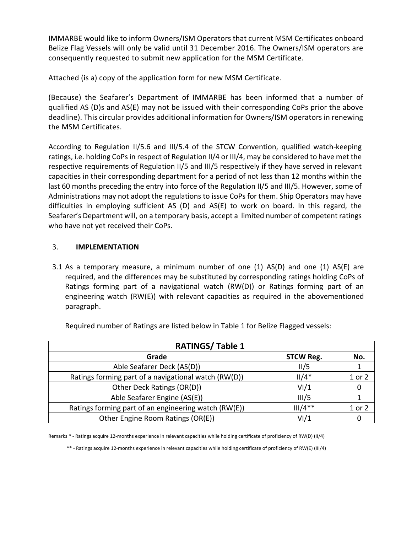IMMARBE would like to inform Owners/ISM Operators that current MSM Certificates onboard Belize Flag Vessels will only be valid until 31 December 2016. The Owners/ISM operators are consequently requested to submit new application for the MSM Certificate.

Attached (is a) copy of the application form for new MSM Certificate.

(Because) the Seafarer's Department of IMMARBE has been informed that a number of qualified AS (D)s and AS(E) may not be issued with their corresponding CoPs prior the above deadline). This circular provides additional information for Owners/ISM operators in renewing the MSM Certificates.

According to Regulation II/5.6 and III/5.4 of the STCW Convention, qualified watch‐keeping ratings, i.e. holding CoPs in respect of Regulation II/4 or III/4, may be considered to have met the respective requirements of Regulation II/5 and III/5 respectively if they have served in relevant capacities in their corresponding department for a period of not less than 12 months within the last 60 months preceding the entry into force of the Regulation II/5 and III/5. However, some of Administrations may not adopt the regulations to issue CoPs for them. Ship Operators may have difficulties in employing sufficient AS (D) and AS(E) to work on board. In this regard, the Seafarer's Department will, on a temporary basis, accept a limited number of competent ratings who have not yet received their CoPs.

#### 3. **IMPLEMENTATION**

3.1 As a temporary measure, a minimum number of one  $(1)$  AS $(D)$  and one  $(1)$  AS $(E)$  are required, and the differences may be substituted by corresponding ratings holding CoPs of Ratings forming part of a navigational watch (RW(D)) or Ratings forming part of an engineering watch (RW(E)) with relevant capacities as required in the abovementioned paragraph.

| <b>RATINGS/Table 1</b>                               |                  |        |  |
|------------------------------------------------------|------------------|--------|--|
| Grade                                                | <b>STCW Reg.</b> | No.    |  |
| Able Seafarer Deck (AS(D))                           | II/5             |        |  |
| Ratings forming part of a navigational watch (RW(D)) | $II/4*$          | 1 or 2 |  |
| Other Deck Ratings (OR(D))                           | VI/1             |        |  |
| Able Seafarer Engine (AS(E))                         | III/5            |        |  |
| Ratings forming part of an engineering watch (RW(E)) | $III/4**$        | 1 or 2 |  |
| Other Engine Room Ratings (OR(E))                    | VI/1             |        |  |

Required number of Ratings are listed below in Table 1 for Belize Flagged vessels:

Remarks \* ‐ Ratings acquire 12‐months experience in relevant capacities while holding certificate of proficiency of RW(D) (II/4)

\*\* ‐ Ratings acquire 12‐months experience in relevant capacities while holding certificate of proficiency of RW(E) (III/4)